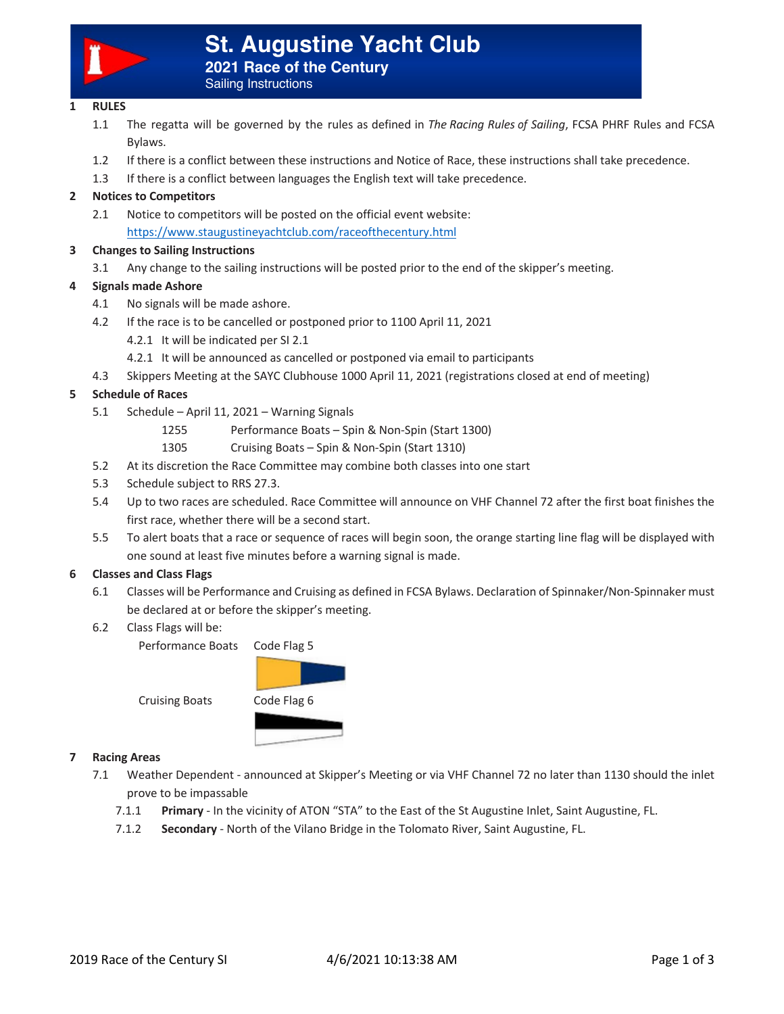

Sailing Instructions

# **1 RULES**

- 1.1 The regatta will be governed by the rules as defined in *The Racing Rules of Sailing*, FCSA PHRF Rules and FCSA Bylaws.
- 1.2 If there is a conflict between these instructions and Notice of Race, these instructions shall take precedence.
- 1.3 If there is a conflict between languages the English text will take precedence.

# **2 Notices to Competitors**

2.1 Notice to competitors will be posted on the official event website: https://www.staugustineyachtclub.com/raceofthecentury.html

# **3 Changes to Sailing Instructions**

3.1 Any change to the sailing instructions will be posted prior to the end of the skipper's meeting.

# **4 Signals made Ashore**

- 4.1 No signals will be made ashore.
- 4.2 If the race is to be cancelled or postponed prior to 1100 April 11, 2021
	- 4.2.1 It will be indicated per SI 2.1
	- 4.2.1 It will be announced as cancelled or postponed via email to participants
- 4.3 Skippers Meeting at the SAYC Clubhouse 1000 April 11, 2021 (registrations closed at end of meeting)

# **5 Schedule of Races**

5.1 Schedule – April 11, 2021 – Warning Signals

1255 Performance Boats – Spin & Non-Spin (Start 1300)

- 1305 Cruising Boats Spin & Non-Spin (Start 1310)
- 5.2 At its discretion the Race Committee may combine both classes into one start
- 5.3 Schedule subject to RRS 27.3.
- 5.4 Up to two races are scheduled. Race Committee will announce on VHF Channel 72 after the first boat finishes the first race, whether there will be a second start.
- 5.5 To alert boats that a race or sequence of races will begin soon, the orange starting line flag will be displayed with one sound at least five minutes before a warning signal is made.

# **6 Classes and Class Flags**

- 6.1 Classes will be Performance and Cruising as defined in FCSA Bylaws. Declaration of Spinnaker/Non-Spinnaker must be declared at or before the skipper's meeting.
- 6.2 Class Flags will be:

Performance Boats Code Flag 5

Cruising Boats Code Flag 6



## **7 Racing Areas**

- 7.1 Weather Dependent announced at Skipper's Meeting or via VHF Channel 72 no later than 1130 should the inlet prove to be impassable
	- 7.1.1 **Primary** In the vicinity of ATON "STA" to the East of the St Augustine Inlet, Saint Augustine, FL.
	- 7.1.2 **Secondary** North of the Vilano Bridge in the Tolomato River, Saint Augustine, FL.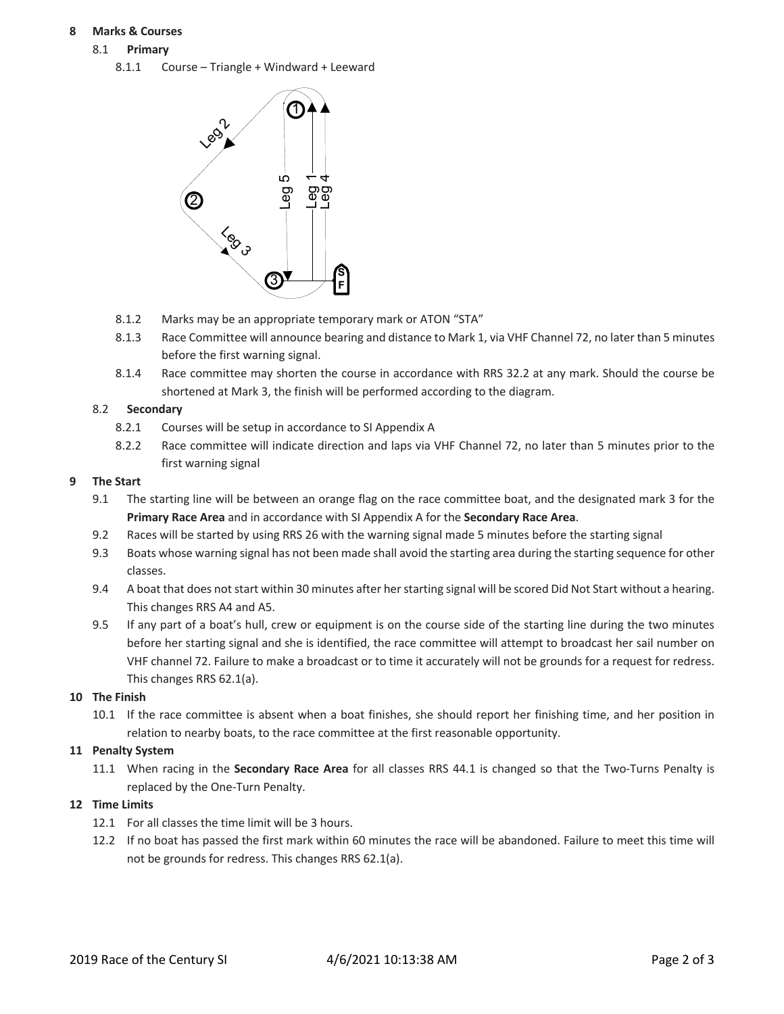## **8 Marks & Courses**

- 8.1 **Primary**
	- 8.1.1 Course Triangle + Windward + Leeward



- 8.1.2 Marks may be an appropriate temporary mark or ATON "STA"
- 8.1.3 Race Committee will announce bearing and distance to Mark 1, via VHF Channel 72, no later than 5 minutes before the first warning signal.
- 8.1.4 Race committee may shorten the course in accordance with RRS 32.2 at any mark. Should the course be shortened at Mark 3, the finish will be performed according to the diagram.

#### 8.2 **Secondary**

- 8.2.1 Courses will be setup in accordance to SI Appendix A
- 8.2.2 Race committee will indicate direction and laps via VHF Channel 72, no later than 5 minutes prior to the first warning signal

#### **9 The Start**

- 9.1 The starting line will be between an orange flag on the race committee boat, and the designated mark 3 for the **Primary Race Area** and in accordance with SI Appendix A for the **Secondary Race Area**.
- 9.2 Races will be started by using RRS 26 with the warning signal made 5 minutes before the starting signal
- 9.3 Boats whose warning signal has not been made shall avoid the starting area during the starting sequence for other classes.
- 9.4 A boat that does not start within 30 minutes after her starting signal will be scored Did Not Start without a hearing. This changes RRS A4 and A5.
- 9.5 If any part of a boat's hull, crew or equipment is on the course side of the starting line during the two minutes before her starting signal and she is identified, the race committee will attempt to broadcast her sail number on VHF channel 72. Failure to make a broadcast or to time it accurately will not be grounds for a request for redress. This changes RRS 62.1(a).

## **10 The Finish**

10.1 If the race committee is absent when a boat finishes, she should report her finishing time, and her position in relation to nearby boats, to the race committee at the first reasonable opportunity.

## **11 Penalty System**

11.1 When racing in the **Secondary Race Area** for all classes RRS 44.1 is changed so that the Two-Turns Penalty is replaced by the One-Turn Penalty.

## **12 Time Limits**

- 12.1 For all classes the time limit will be 3 hours.
- 12.2 If no boat has passed the first mark within 60 minutes the race will be abandoned. Failure to meet this time will not be grounds for redress. This changes RRS 62.1(a).